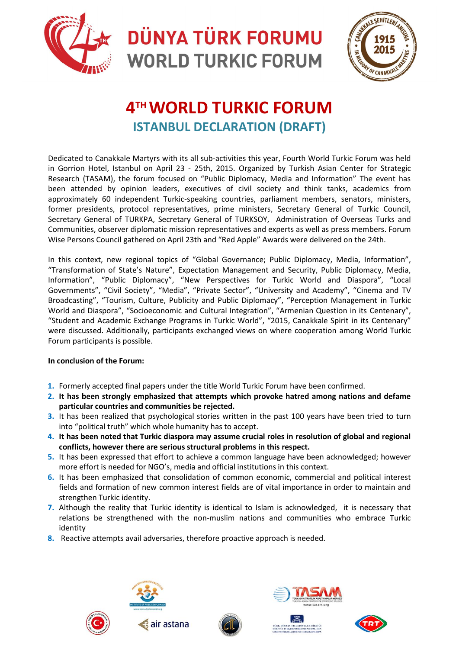

# **DÜNYA TÜRK FORUMU WORLD TURKIC FORUM**



### **4 THWORLD TURKIC FORUM ISTANBUL DECLARATION (DRAFT)**

Dedicated to Canakkale Martyrs with its all sub-activities this year, Fourth World Turkic Forum was held in Gorrion Hotel, Istanbul on April 23 - 25th, 2015. Organized by Turkish Asian Center for Strategic Research (TASAM), the forum focused on "Public Diplomacy, Media and Information" The event has been attended by opinion leaders, executives of civil society and think tanks, academics from approximately 60 independent Turkic-speaking countries, parliament members, senators, ministers, former presidents, protocol representatives, prime ministers, Secretary General of Turkic Council, Secretary General of TURKPA, Secretary General of TURKSOY, Administration of Overseas Turks and Communities, observer diplomatic mission representatives and experts as well as press members. Forum Wise Persons Council gathered on April 23th and "Red Apple" Awards were delivered on the 24th.

In this context, new regional topics of "Global Governance; Public Diplomacy, Media, Information", "Transformation of State's Nature", Expectation Management and Security, Public Diplomacy, Media, Information", "Public Diplomacy", "New Perspectives for Turkic World and Diaspora", "Local Governments", "Civil Society", "Media", "Private Sector", "University and Academy", "Cinema and TV Broadcasting", "Tourism, Culture, Publicity and Public Diplomacy", "Perception Management in Turkic World and Diaspora", "Socioeconomic and Cultural Integration", "Armenian Question in its Centenary", "Student and Academic Exchange Programs in Turkic World", "2015, Canakkale Spirit in its Centenary" were discussed. Additionally, participants exchanged views on where cooperation among World Turkic Forum participants is possible.

#### **In conclusion of the Forum:**

- **1.** Formerly accepted final papers under the title World Turkic Forum have been confirmed.
- **2. It has been strongly emphasized that attempts which provoke hatred among nations and defame particular countries and communities be rejected.**
- **3.** It has been realized that psychological stories written in the past 100 years have been tried to turn into "political truth" which whole humanity has to accept.
- **4. It has been noted that Turkic diaspora may assume crucial roles in resolution of global and regional conflicts, however there are serious structural problems in this respect.**
- **5.** It has been expressed that effort to achieve a common language have been acknowledged; however more effort is needed for NGO's, media and official institutions in this context.
- **6.** It has been emphasized that consolidation of common economic, commercial and political interest fields and formation of new common interest fields are of vital importance in order to maintain and strengthen Turkic identity.
- **7.** Although the reality that Turkic identity is identical to Islam is acknowledged, it is necessary that relations be strengthened with the non-muslim nations and communities who embrace Turkic identity
- **8.** Reactive attempts avail adversaries, therefore proactive approach is needed.









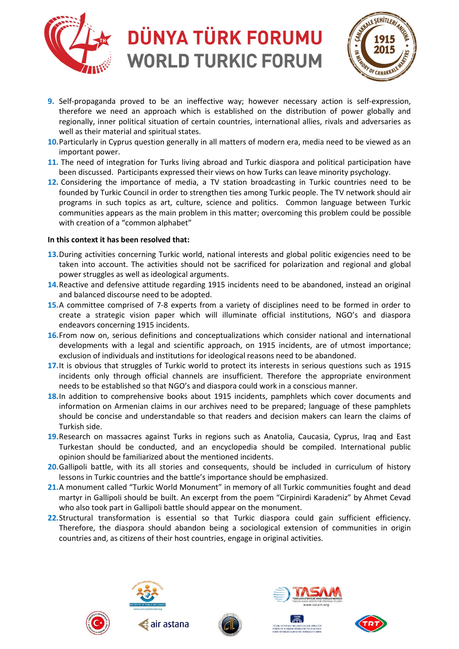

# **DÜNYA TÜRK FORUMU WORLD TURKIC FORUM**



- **9.** Self-propaganda proved to be an ineffective way; however necessary action is self-expression, therefore we need an approach which is established on the distribution of power globally and regionally, inner political situation of certain countries, international allies, rivals and adversaries as well as their material and spiritual states.
- **10.**Particularly in Cyprus question generally in all matters of modern era, media need to be viewed as an important power.
- **11.** The need of integration for Turks living abroad and Turkic diaspora and political participation have been discussed. Participants expressed their views on how Turks can leave minority psychology.
- **12.** Considering the importance of media, a TV station broadcasting in Turkic countries need to be founded by Turkic Council in order to strengthen ties among Turkic people. The TV network should air programs in such topics as art, culture, science and politics. Common language between Turkic communities appears as the main problem in this matter; overcoming this problem could be possible with creation of a "common alphabet"

#### **In this context it has been resolved that:**

- **13.**During activities concerning Turkic world, national interests and global politic exigencies need to be taken into account. The activities should not be sacrificed for polarization and regional and global power struggles as well as ideological arguments.
- **14.**Reactive and defensive attitude regarding 1915 incidents need to be abandoned, instead an original and balanced discourse need to be adopted.
- **15.**A committee comprised of 7-8 experts from a variety of disciplines need to be formed in order to create a strategic vision paper which will illuminate official institutions, NGO's and diaspora endeavors concerning 1915 incidents.
- **16.**From now on, serious definitions and conceptualizations which consider national and international developments with a legal and scientific approach, on 1915 incidents, are of utmost importance; exclusion of individuals and institutions for ideological reasons need to be abandoned.
- **17.**It is obvious that struggles of Turkic world to protect its interests in serious questions such as 1915 incidents only through official channels are insufficient. Therefore the appropriate environment needs to be established so that NGO's and diaspora could work in a conscious manner.
- **18.**In addition to comprehensive books about 1915 incidents, pamphlets which cover documents and information on Armenian claims in our archives need to be prepared; language of these pamphlets should be concise and understandable so that readers and decision makers can learn the claims of Turkish side.
- **19.**Research on massacres against Turks in regions such as Anatolia, Caucasia, Cyprus, Iraq and East Turkestan should be conducted, and an encyclopedia should be compiled. International public opinion should be familiarized about the mentioned incidents.
- **20.**Gallipoli battle, with its all stories and consequents, should be included in curriculum of history lessons in Turkic countries and the battle's importance should be emphasized.
- **21.**A monument called "Turkic World Monument" in memory of all Turkic communities fought and dead martyr in Gallipoli should be built. An excerpt from the poem "Cirpinirdi Karadeniz" by Ahmet Cevad who also took part in Gallipoli battle should appear on the monument.
- **22.**Structural transformation is essential so that Turkic diaspora could gain sufficient efficiency. Therefore, the diaspora should abandon being a sociological extension of communities in origin countries and, as citizens of their host countries, engage in original activities.